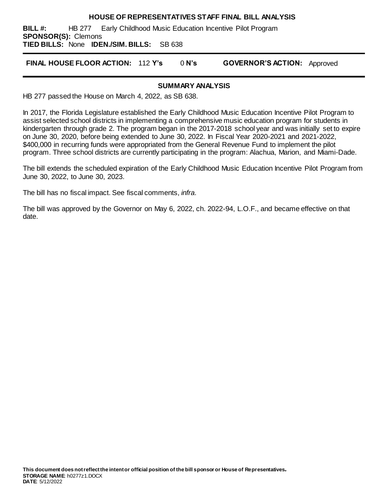#### **HOUSE OF REPRESENTATIVES STAFF FINAL BILL ANALYSIS**

**BILL #:** HB 277 Early Childhood Music Education Incentive Pilot Program **SPONSOR(S):** Clemons **TIED BILLS:** None **IDEN./SIM. BILLS:** SB 638

**FINAL HOUSE FLOOR ACTION:** 112 **Y's** 0 **N's GOVERNOR'S ACTION:** Approved

#### **SUMMARY ANALYSIS**

HB 277 passed the House on March 4, 2022, as SB 638.

In 2017, the Florida Legislature established the Early Childhood Music Education Incentive Pilot Program to assist selected school districts in implementing a comprehensive music education program for students in kindergarten through grade 2. The program began in the 2017-2018 school year and was initially set to expire on June 30, 2020, before being extended to June 30, 2022. In Fiscal Year 2020-2021 and 2021-2022, \$400,000 in recurring funds were appropriated from the General Revenue Fund to implement the pilot program. Three school districts are currently participating in the program: Alachua, Marion, and Miami-Dade.

The bill extends the scheduled expiration of the Early Childhood Music Education Incentive Pilot Program from June 30, 2022, to June 30, 2023.

The bill has no fiscal impact. See fiscal comments, *infra*.

The bill was approved by the Governor on May 6, 2022, ch. 2022-94, L.O.F., and became effective on that date.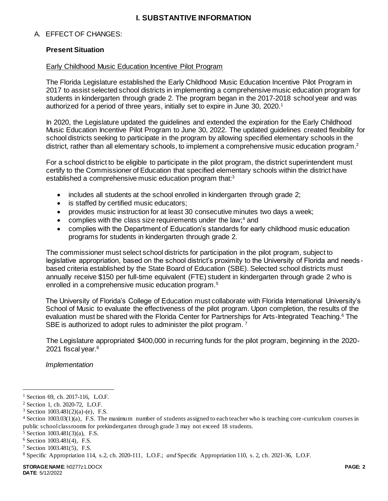### **I. SUBSTANTIVE INFORMATION**

### A. EFFECT OF CHANGES:

#### **Present Situation**

#### Early Childhood Music Education Incentive Pilot Program

The Florida Legislature established the Early Childhood Music Education Incentive Pilot Program in 2017 to assist selected school districts in implementing a comprehensive music education program for students in kindergarten through grade 2. The program began in the 2017-2018 school year and was authorized for a period of three years, initially set to expire in June 30, 2020.<sup>1</sup>

In 2020, the Legislature updated the guidelines and extended the expiration for the Early Childhood Music Education Incentive Pilot Program to June 30, 2022. The updated guidelines created flexibility for school districts seeking to participate in the program by allowing specified elementary schools in the district, rather than all elementary schools, to implement a comprehensive music education program.<sup>2</sup>

For a school district to be eligible to participate in the pilot program, the district superintendent must certify to the Commissioner of Education that specified elementary schools within the district have established a comprehensive music education program that:<sup>3</sup>

- includes all students at the school enrolled in kindergarten through grade 2;
- is staffed by certified music educators;
- provides music instruction for at least 30 consecutive minutes two days a week;
- $\bullet$  complies with the class size requirements under the law:<sup>4</sup> and
- complies with the Department of Education's standards for early childhood music education programs for students in kindergarten through grade 2.

The commissioner must select school districts for participation in the pilot program, subject to legislative appropriation, based on the school district's proximity to the University of Florida and needsbased criteria established by the State Board of Education (SBE). Selected school districts must annually receive \$150 per full-time equivalent (FTE) student in kindergarten through grade 2 who is enrolled in a comprehensive music education program.<sup>5</sup>

The University of Florida's College of Education must collaborate with Florida International University's School of Music to evaluate the effectiveness of the pilot program. Upon completion, the results of the evaluation must be shared with the Florida Center for Partnerships for Arts-Integrated Teaching.<sup>6</sup> The SBE is authorized to adopt rules to administer the pilot program.<sup>7</sup>

The Legislature appropriated \$400,000 in recurring funds for the pilot program, beginning in the 2020- 2021 fiscal year.<sup>8</sup>

*Implementation* 

l

<sup>&</sup>lt;sup>1</sup> Section 69, ch. 2017-116, L.O.F.

<sup>2</sup> Section 1, ch. 2020-72, L.O.F.

 $3$  Section 1003.481(2)(a)-(e), F.S.

<sup>4</sup> Section 1003.03(1)(a), F.S. The maximum number of students assigned to each teacher who is teaching core -curriculum courses in public school classrooms for prekindergarten through grade 3 may not exceed 18 students.

<sup>5</sup> Section 1003.481(3)(a), F.S.

<sup>6</sup> Section 1003.481(4), F.S.

<sup>7</sup> Section 1003.481(5), F.S.

<sup>8</sup> Specific Appropriation 114, s.2, ch. 2020-111, L.O.F.; *and* Specific Appropriation 110, s. 2, ch. 2021-36, L.O.F.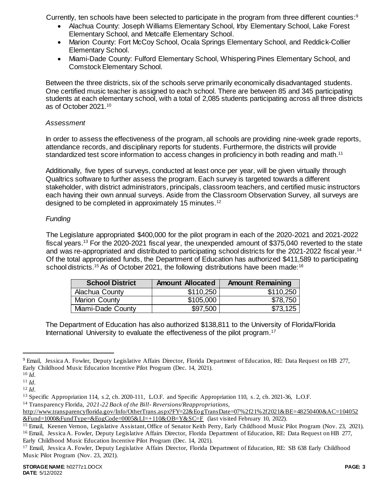Currently, ten schools have been selected to participate in the program from three different counties:<sup>9</sup>

- Alachua County: Joseph Williams Elementary School, Irby Elementary School, Lake Forest Elementary School, and Metcalfe Elementary School.
- Marion County: Fort McCoy School, Ocala Springs Elementary School, and Reddick-Collier Elementary School.
- Miami-Dade County: Fulford Elementary School, Whispering Pines Elementary School, and Comstock Elementary School.

Between the three districts, six of the schools serve primarily economically disadvantaged students. One certified music teacher is assigned to each school. There are between 85 and 345 participating students at each elementary school, with a total of 2,085 students participating across all three districts as of October 2021.<sup>10</sup>

### *Assessment*

In order to assess the effectiveness of the program, all schools are providing nine-week grade reports, attendance records, and disciplinary reports for students. Furthermore, the districts will provide standardized test score information to access changes in proficiency in both reading and math.<sup>11</sup>

Additionally, five types of surveys, conducted at least once per year, will be given virtually through Qualtrics software to further assess the program. Each survey is targeted towards a different stakeholder, with district administrators, principals, classroom teachers, and certified music instructors each having their own annual surveys. Aside from the Classroom Observation Survey, all surveys are designed to be completed in approximately 15 minutes.<sup>12</sup>

# *Funding*

The Legislature appropriated \$400,000 for the pilot program in each of the 2020-2021 and 2021-2022 fiscal years.<sup>13</sup> For the 2020-2021 fiscal year, the unexpended amount of \$375,040 reverted to the state and was re-appropriated and distributed to participating school districts for the 2021-2022 fiscal year.<sup>14</sup> Of the total appropriated funds, the Department of Education has authorized \$411,589 to participating school districts.<sup>15</sup> As of October 2021, the following distributions have been made:<sup>16</sup>

| <b>School District</b> | <b>Amount Allocated</b> | <b>Amount Remaining</b> |
|------------------------|-------------------------|-------------------------|
| Alachua County         | \$110,250               | \$110,250               |
| <b>Marion County</b>   | \$105,000               | \$78,750                |
| Miami-Dade County      | \$97,500                | \$73,125                |

The Department of Education has also authorized \$138,811 to the University of Florida/Florida International University to evaluate the effectiveness of the pilot program.<sup>17</sup>

 $\overline{a}$ 

<sup>14</sup> Transparency Florida, *2021-22 Back of the Bill- Reversions/Reappropriations,*

Early Childhood Music Education Incentive Pilot Program (Dec. 14, 2021).

<sup>9</sup> Email, Jessica A. Fowler, Deputy Legislative Affairs Director, Florida Department of Education, RE: Data Request on HB 277, Early Childhood Music Education Incentive Pilot Program (Dec. 14, 2021).

<sup>10</sup> *Id.*

<sup>11</sup> *Id.*

<sup>12</sup> *Id.*

<sup>&</sup>lt;sup>13</sup> Specific Appropriation 114, s.2, ch. 2020-111, L.O.F. and Specific Appropriation 110, s. 2, ch. 2021-36, L.O.F.

http://www.transparencyflorida.gov/Info/OtherTrans.aspx?FY=22&EogTransDate=07%2f21%2f2021&BE=48250400&AC=104052  $\&$  Fund=1000 $\&$ FundType= $\&$ BogCode=0005 $\&$ LI=+110 $\&$ OB=Y $\&$ SC=F (last visited February 10, 2022).

<sup>&</sup>lt;sup>15</sup> Email, Keenen Vernon, Legislative Assistant, Office of Senator Keith Perry, Early Childhood Music Pilot Program (Nov. 23, 2021). <sup>16</sup> Email, Jessica A. Fowler, Deputy Legislative Affairs Director, Florida Department of Education, RE: Data Request on HB 277,

<sup>&</sup>lt;sup>17</sup> Email, Jessica A. Fowler, Deputy Legislative Affairs Director, Florida Department of Education, RE: SB 638 Early Childhood Music Pilot Program (Nov. 23, 2021).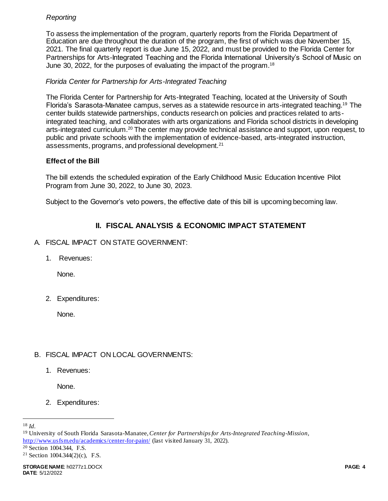# *Reporting*

To assess the implementation of the program, quarterly reports from the Florida Department of Education are due throughout the duration of the program, the first of which was due November 15, 2021. The final quarterly report is due June 15, 2022, and must be provided to the Florida Center for Partnerships for Arts-Integrated Teaching and the Florida International University's School of Music on June 30, 2022, for the purposes of evaluating the impact of the program.<sup>18</sup>

### *Florida Center for Partnership for Arts-Integrated Teaching*

The Florida Center for Partnership for Arts-Integrated Teaching, located at the University of South Florida's Sarasota-Manatee campus, serves as a statewide resource in arts-integrated teaching.<sup>19</sup> The center builds statewide partnerships, conducts research on policies and practices related to artsintegrated teaching, and collaborates with arts organizations and Florida school districts in developing arts-integrated curriculum.<sup>20</sup> The center may provide technical assistance and support, upon request, to public and private schools with the implementation of evidence-based, arts-integrated instruction, assessments, programs, and professional development.<sup>21</sup>

### **Effect of the Bill**

The bill extends the scheduled expiration of the Early Childhood Music Education Incentive Pilot Program from June 30, 2022, to June 30, 2023.

Subject to the Governor's veto powers, the effective date of this bill is upcoming becoming law.

# **II. FISCAL ANALYSIS & ECONOMIC IMPACT STATEMENT**

- A. FISCAL IMPACT ON STATE GOVERNMENT:
	- 1. Revenues:

None.

2. Expenditures:

None.

# B. FISCAL IMPACT ON LOCAL GOVERNMENTS:

1. Revenues:

None.

2. Expenditures:

l

<sup>18</sup> *Id.*

<sup>19</sup> University of South Florida Sarasota-Manatee, *Center for Partnerships for Arts-Integrated Teaching-Mission*, <http://www.usfsm.edu/academics/center-for-paint/> (last visited January 31, 2022).

<sup>20</sup> Section 1004.344, F.S.

<sup>&</sup>lt;sup>21</sup> Section 1004.344(2)(c), F.S.